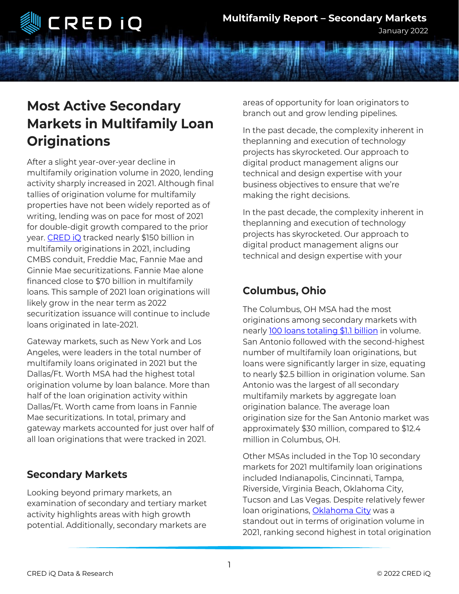

January 2022

# **Most Active Secondary Markets in Multifamily Loan Originations**

After a slight year-over-year decline in multifamily origination volume in 2020, lending activity sharply increased in 2021. Although final tallies of origination volume for multifamily properties have not been widely reported as of writing, lending was on pace for most of 2021 for double-digit growth compared to the prior year. [CRED iQ](https://cred-iq.com/browse) tracked nearly \$150 billion in multifamily originations in 2021, including CMBS conduit, Freddie Mac, Fannie Mae and Ginnie Mae securitizations. Fannie Mae alone financed close to \$70 billion in multifamily loans. This sample of 2021 loan originations will likely grow in the near term as 2022 securitization issuance will continue to include loans originated in late-2021.

Gateway markets, such as New York and Los Angeles, were leaders in the total number of multifamily loans originated in 2021 but the Dallas/Ft. Worth MSA had the highest total origination volume by loan balance. More than half of the loan origination activity within Dallas/Ft. Worth came from loans in Fannie Mae securitizations. In total, primary and gateway markets accounted for just over half of all loan originations that were tracked in 2021.

### **Secondary Markets**

Looking beyond primary markets, an examination of secondary and tertiary market activity highlights areas with high growth potential. Additionally, secondary markets are

areas of opportunity for loan originators to branch out and grow lending pipelines.

In the past decade, the complexity inherent in theplanning and execution of technology projects has skyrocketed. Our approach to digital product management aligns our technical and design expertise with your business objectives to ensure that we're making the right decisions.

In the past decade, the complexity inherent in theplanning and execution of technology projects has skyrocketed. Our approach to digital product management aligns our technical and design expertise with your

## **Columbus, Ohio**

The Columbus, OH MSA had the most originations among secondary markets with nearly [100 loans totaling \\$1.1 billion](https://cred-iq.com/browse?t=Multifamily&l=Columbus%252C%2520OH%252C%2520USA) in volume. San Antonio followed with the second-highest number of multifamily loan originations, but loans were significantly larger in size, equating to nearly \$2.5 billion in origination volume. San Antonio was the largest of all secondary multifamily markets by aggregate loan origination balance. The average loan origination size for the San Antonio market was approximately \$30 million, compared to \$12.4 million in Columbus, OH.

Other MSAs included in the Top 10 secondary markets for 2021 multifamily loan originations included Indianapolis, Cincinnati, Tampa, Riverside, Virginia Beach, Oklahoma City, Tucson and Las Vegas. Despite relatively fewer loan originations, [Oklahoma City](https://cred-iq.com/browse?t=Multifamily&l=Oklahoma%2520City%252C%2520OK%252C%2520USA) was a standout out in terms of origination volume in 2021, ranking second highest in total origination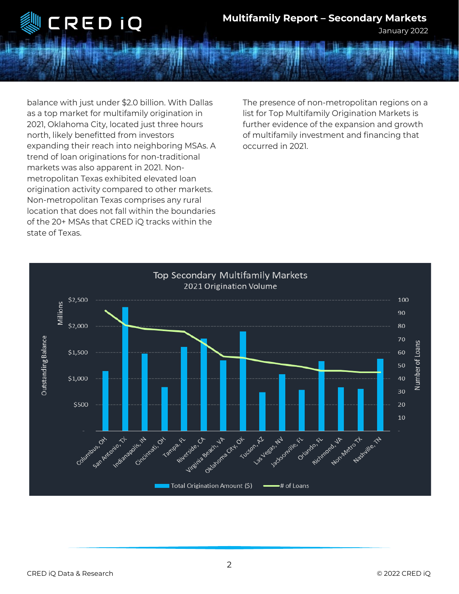

#### **Multifamily Report – Secondary Markets**

January 2022

balance with just under \$2.0 billion. With Dallas as a top market for multifamily origination in 2021, Oklahoma City, located just three hours north, likely benefitted from investors expanding their reach into neighboring MSAs. A trend of loan originations for non-traditional markets was also apparent in 2021. Nonmetropolitan Texas exhibited elevated loan origination activity compared to other markets. Non-metropolitan Texas comprises any rural location that does not fall within the boundaries of the 20+ MSAs that CRED iQ tracks within the state of Texas.

The presence of non-metropolitan regions on a list for Top Multifamily Origination Markets is further evidence of the expansion and growth of multifamily investment and financing that occurred in 2021.